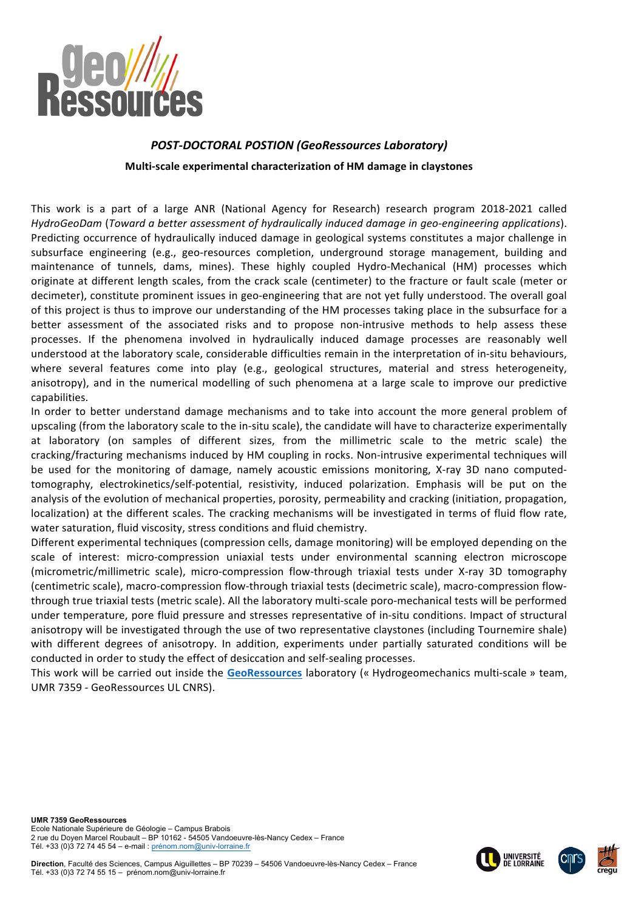

# **POST-DOCTORAL POSTION (GeoRessources Laboratory)**

Multi-scale experimental characterization of HM damage in claystones

This work is a part of a large ANR (National Agency for Research) research program 2018-2021 called HydroGeoDam (Toward a better assessment of hydraulically induced damage in geo-engineering applications). Predicting occurrence of hydraulically induced damage in geological systems constitutes a major challenge in subsurface engineering (e.g., geo-resources completion, underground storage management, building and maintenance of tunnels, dams, mines). These highly coupled Hydro-Mechanical (HM) processes which originate at different length scales, from the crack scale (centimeter) to the fracture or fault scale (meter or decimeter), constitute prominent issues in geo-engineering that are not yet fully understood. The overall goal of this project is thus to improve our understanding of the HM processes taking place in the subsurface for a better assessment of the associated risks and to propose non-intrusive methods to help assess these processes. If the phenomena involved in hydraulically induced damage processes are reasonably well understood at the laboratory scale, considerable difficulties remain in the interpretation of in-situ behaviours, where several features come into play (e.g., geological structures, material and stress heterogeneity, anisotropy), and in the numerical modelling of such phenomena at a large scale to improve our predictive capabilities.

In order to better understand damage mechanisms and to take into account the more general problem of upscaling (from the laboratory scale to the in-situ scale), the candidate will have to characterize experimentally at laboratory (on samples of different sizes, from the millimetric scale to the metric scale) the cracking/fracturing mechanisms induced by HM coupling in rocks. Non-intrusive experimental techniques will be used for the monitoring of damage, namely acoustic emissions monitoring. X-ray 3D nano computedtomography, electrokinetics/self-potential, resistivity, induced polarization. Emphasis will be put on the analysis of the evolution of mechanical properties, porosity, permeability and cracking (initiation, propagation, localization) at the different scales. The cracking mechanisms will be investigated in terms of fluid flow rate, water saturation, fluid viscosity, stress conditions and fluid chemistry.

Different experimental techniques (compression cells, damage monitoring) will be employed depending on the scale of interest: micro-compression uniaxial tests under environmental scanning electron microscope (micrometric/millimetric scale), micro-compression flow-through triaxial tests under X-ray 3D tomography (centimetric scale), macro-compression flow-through triaxial tests (decimetric scale), macro-compression flowthrough true triaxial tests (metric scale). All the laboratory multi-scale poro-mechanical tests will be performed under temperature, pore fluid pressure and stresses representative of in-situ conditions. Impact of structural anisotropy will be investigated through the use of two representative claystones (including Tournemire shale) with different degrees of anisotropy. In addition, experiments under partially saturated conditions will be conducted in order to study the effect of desiccation and self-sealing processes.

This work will be carried out inside the GeoRessources laboratory (« Hydrogeomechanics multi-scale » team, UMR 7359 - GeoRessources UL CNRS).